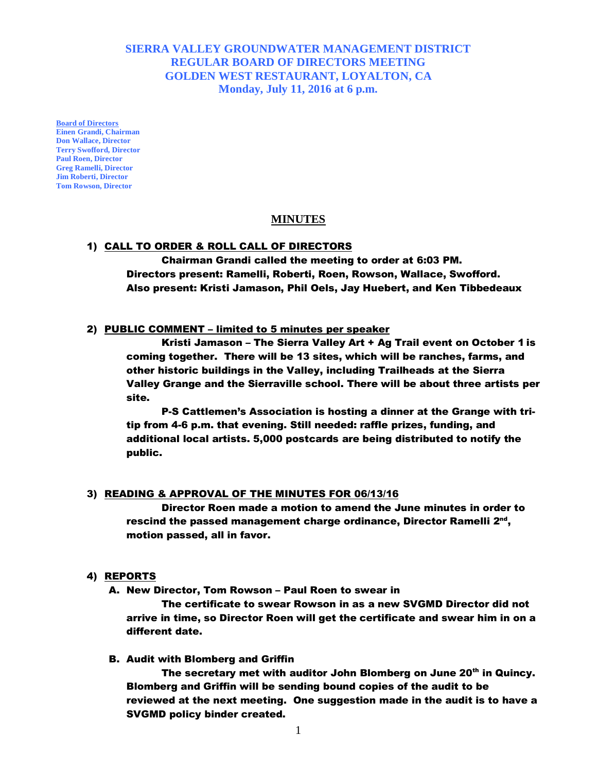**SIERRA VALLEY GROUNDWATER MANAGEMENT DISTRICT REGULAR BOARD OF DIRECTORS MEETING GOLDEN WEST RESTAURANT, LOYALTON, CA Monday, July 11, 2016 at 6 p.m.**

**Board of Directors Einen Grandi, Chairman Don Wallace, Director Terry Swofford, Director Paul Roen, Director Greg Ramelli, Director Jim Roberti, Director Tom Rowson, Director** 

# **MINUTES**

# 1) CALL TO ORDER & ROLL CALL OF DIRECTORS

Chairman Grandi called the meeting to order at 6:03 PM. Directors present: Ramelli, Roberti, Roen, Rowson, Wallace, Swofford. Also present: Kristi Jamason, Phil Oels, Jay Huebert, and Ken Tibbedeaux

### 2) PUBLIC COMMENT – limited to 5 minutes per speaker

Kristi Jamason – The Sierra Valley Art + Ag Trail event on October 1 is coming together. There will be 13 sites, which will be ranches, farms, and other historic buildings in the Valley, including Trailheads at the Sierra Valley Grange and the Sierraville school. There will be about three artists per site.

P-S Cattlemen's Association is hosting a dinner at the Grange with tritip from 4-6 p.m. that evening. Still needed: raffle prizes, funding, and additional local artists. 5,000 postcards are being distributed to notify the public.

#### 3) READING & APPROVAL OF THE MINUTES FOR 06/13/16

Director Roen made a motion to amend the June minutes in order to rescind the passed management charge ordinance, Director Ramelli 2<sup>nd</sup>, motion passed, all in favor.

#### 4) REPORTS

A. New Director, Tom Rowson – Paul Roen to swear in

The certificate to swear Rowson in as a new SVGMD Director did not arrive in time, so Director Roen will get the certificate and swear him in on a different date.

B. Audit with Blomberg and Griffin

The secretary met with auditor John Blomberg on June 20<sup>th</sup> in Quincy. Blomberg and Griffin will be sending bound copies of the audit to be reviewed at the next meeting. One suggestion made in the audit is to have a SVGMD policy binder created.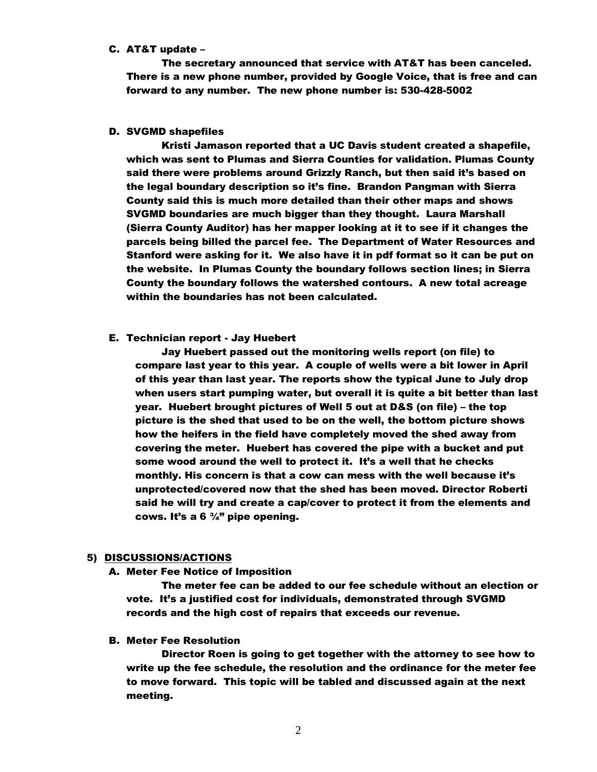### C. AT&T update –

The secretary announced that service with AT&T has been canceled. There is a new phone number, provided by Google Voice, that is free and can forward to any number. The new phone number is: 530-428-5002

# D. SVGMD shapefiles

Kristi Jamason reported that a UC Davis student created a shapefile, which was sent to Plumas and Sierra Counties for validation. Plumas County said there were problems around Grizzly Ranch, but then said it's based on the legal boundary description so it's fine. Brandon Pangman with Sierra County said this is much more detailed than their other maps and shows SVGMD boundaries are much bigger than they thought. Laura Marshall (Sierra County Auditor) has her mapper looking at it to see if it changes the parcels being billed the parcel fee. The Department of Water Resources and Stanford were asking for it. We also have it in pdf format so it can be put on the website. In Plumas County the boundary follows section lines; in Sierra County the boundary follows the watershed contours. A new total acreage within the boundaries has not been calculated.

# E. Technician report - Jay Huebert

Jay Huebert passed out the monitoring wells report (on file) to compare last year to this year. A couple of wells were a bit lower in April of this year than last year. The reports show the typical June to July drop when users start pumping water, but overall it is quite a bit better than last year. Huebert brought pictures of Well 5 out at D&S (on file) – the top picture is the shed that used to be on the well, the bottom picture shows how the heifers in the field have completely moved the shed away from covering the meter. Huebert has covered the pipe with a bucket and put some wood around the well to protect it. It's a well that he checks monthly. His concern is that a cow can mess with the well because it's unprotected/covered now that the shed has been moved. Director Roberti said he will try and create a cap/cover to protect it from the elements and cows. It's a 6  $\frac{3}{4}$ " pipe opening.

# 5) DISCUSSIONS/ACTIONS

#### A. Meter Fee Notice of Imposition

The meter fee can be added to our fee schedule without an election or vote. It's a justified cost for individuals, demonstrated through SVGMD records and the high cost of repairs that exceeds our revenue.

# B. Meter Fee Resolution

Director Roen is going to get together with the attorney to see how to write up the fee schedule, the resolution and the ordinance for the meter fee to move forward. This topic will be tabled and discussed again at the next meeting.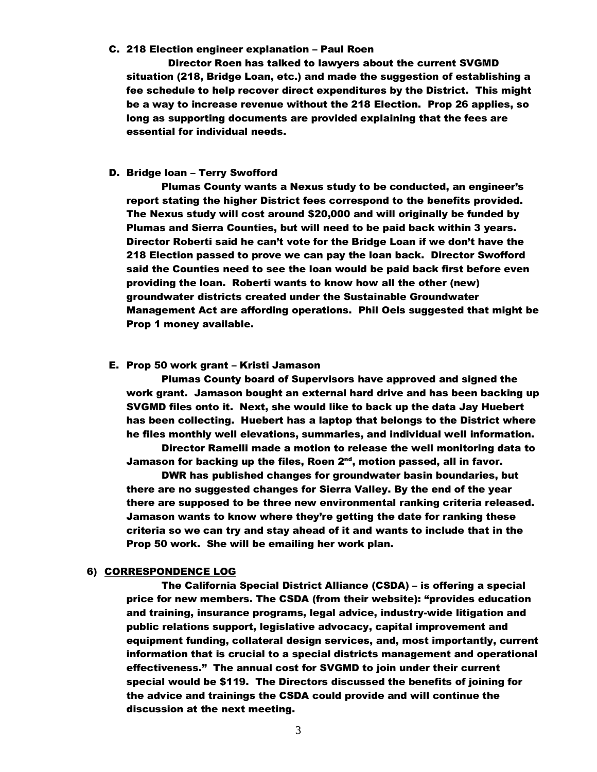# C. 218 Election engineer explanation – Paul Roen

 Director Roen has talked to lawyers about the current SVGMD situation (218, Bridge Loan, etc.) and made the suggestion of establishing a fee schedule to help recover direct expenditures by the District. This might be a way to increase revenue without the 218 Election. Prop 26 applies, so long as supporting documents are provided explaining that the fees are essential for individual needs.

# D. Bridge loan – Terry Swofford

Plumas County wants a Nexus study to be conducted, an engineer's report stating the higher District fees correspond to the benefits provided. The Nexus study will cost around \$20,000 and will originally be funded by Plumas and Sierra Counties, but will need to be paid back within 3 years. Director Roberti said he can't vote for the Bridge Loan if we don't have the 218 Election passed to prove we can pay the loan back. Director Swofford said the Counties need to see the loan would be paid back first before even providing the loan. Roberti wants to know how all the other (new) groundwater districts created under the Sustainable Groundwater Management Act are affording operations. Phil Oels suggested that might be Prop 1 money available.

#### E. Prop 50 work grant – Kristi Jamason

Plumas County board of Supervisors have approved and signed the work grant. Jamason bought an external hard drive and has been backing up SVGMD files onto it. Next, she would like to back up the data Jay Huebert has been collecting. Huebert has a laptop that belongs to the District where he files monthly well elevations, summaries, and individual well information.

Director Ramelli made a motion to release the well monitoring data to Jamason for backing up the files, Roen 2<sup>nd</sup>, motion passed, all in favor.

DWR has published changes for groundwater basin boundaries, but there are no suggested changes for Sierra Valley. By the end of the year there are supposed to be three new environmental ranking criteria released. Jamason wants to know where they're getting the date for ranking these criteria so we can try and stay ahead of it and wants to include that in the Prop 50 work. She will be emailing her work plan.

# 6) CORRESPONDENCE LOG

The California Special District Alliance (CSDA) – is offering a special price for new members. The CSDA (from their website): "provides education and training, insurance programs, legal advice, industry-wide litigation and public relations support, legislative advocacy, capital improvement and equipment funding, collateral design services, and, most importantly, current information that is crucial to a special districts management and operational effectiveness." The annual cost for SVGMD to join under their current special would be \$119. The Directors discussed the benefits of joining for the advice and trainings the CSDA could provide and will continue the discussion at the next meeting.